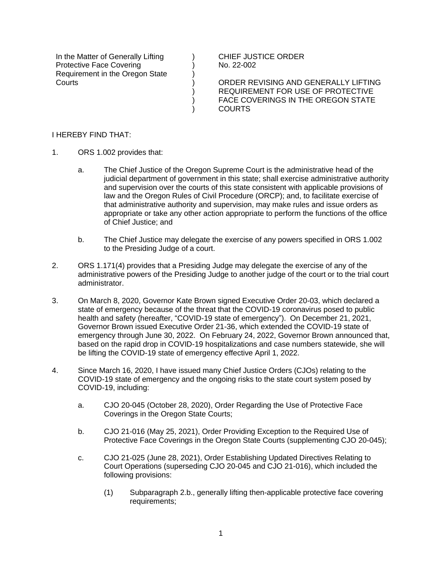In the Matter of Generally Lifting Protective Face Covering Requirement in the Oregon State **Courts** 

CHIEF JUSTICE ORDER No. 22-002

ORDER REVISING AND GENERALLY LIFTING REQUIREMENT FOR USE OF PROTECTIVE FACE COVERINGS IN THE OREGON STATE COURTS

## I HEREBY FIND THAT:

- 1. ORS 1.002 provides that:
	- a. The Chief Justice of the Oregon Supreme Court is the administrative head of the judicial department of government in this state; shall exercise administrative authority and supervision over the courts of this state consistent with applicable provisions of law and the Oregon Rules of Civil Procedure (ORCP); and, to facilitate exercise of that administrative authority and supervision, may make rules and issue orders as appropriate or take any other action appropriate to perform the functions of the office of Chief Justice; and

) ) ) ) ) ) )

- b. The Chief Justice may delegate the exercise of any powers specified in ORS 1.002 to the Presiding Judge of a court.
- 2. ORS 1.171(4) provides that a Presiding Judge may delegate the exercise of any of the administrative powers of the Presiding Judge to another judge of the court or to the trial court administrator.
- 3. On March 8, 2020, Governor Kate Brown signed Executive Order 20-03, which declared a state of emergency because of the threat that the COVID-19 coronavirus posed to public health and safety (hereafter, "COVID-19 state of emergency"). On December 21, 2021, Governor Brown issued Executive Order 21-36, which extended the COVID-19 state of emergency through June 30, 2022. On February 24, 2022, Governor Brown announced that, based on the rapid drop in COVID-19 hospitalizations and case numbers statewide, she will be lifting the COVID-19 state of emergency effective April 1, 2022.
- 4. Since March 16, 2020, I have issued many Chief Justice Orders (CJOs) relating to the COVID-19 state of emergency and the ongoing risks to the state court system posed by COVID-19, including:
	- a. CJO 20-045 (October 28, 2020), Order Regarding the Use of Protective Face Coverings in the Oregon State Courts;
	- b. CJO 21-016 (May 25, 2021), Order Providing Exception to the Required Use of Protective Face Coverings in the Oregon State Courts (supplementing CJO 20-045);
	- c. CJO 21-025 (June 28, 2021), Order Establishing Updated Directives Relating to Court Operations (superseding CJO 20-045 and CJO 21-016), which included the following provisions:
		- (1) Subparagraph 2.b., generally lifting then-applicable protective face covering requirements;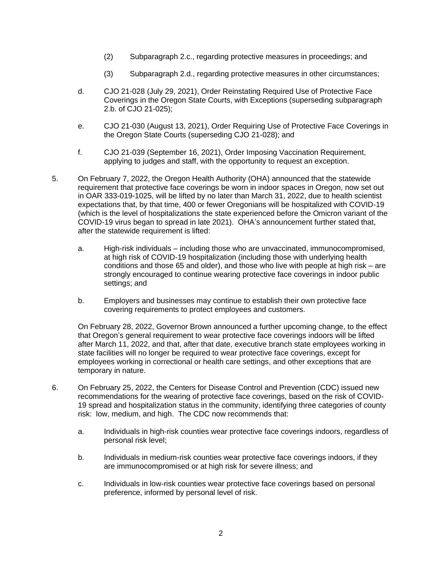- (2) Subparagraph 2.c., regarding protective measures in proceedings; and
- (3) Subparagraph 2.d., regarding protective measures in other circumstances;
- d. CJO 21-028 (July 29, 2021), Order Reinstating Required Use of Protective Face Coverings in the Oregon State Courts, with Exceptions (superseding subparagraph 2.b. of CJO 21-025);
- e. CJO 21-030 (August 13, 2021), Order Requiring Use of Protective Face Coverings in the Oregon State Courts (superseding CJO 21-028); and
- f. CJO 21-039 (September 16, 2021), Order Imposing Vaccination Requirement, applying to judges and staff, with the opportunity to request an exception.
- 5. On February 7, 2022, the Oregon Health Authority (OHA) announced that the statewide requirement that protective face coverings be worn in indoor spaces in Oregon, now set out in OAR 333-019-1025, will be lifted by no later than March 31, 2022, due to health scientist expectations that, by that time, 400 or fewer Oregonians will be hospitalized with COVID-19 (which is the level of hospitalizations the state experienced before the Omicron variant of the COVID-19 virus began to spread in late 2021). OHA's announcement further stated that, after the statewide requirement is lifted:
	- a. High-risk individuals including those who are unvaccinated, immunocompromised, at high risk of COVID-19 hospitalization (including those with underlying health conditions and those 65 and older), and those who live with people at high risk – are strongly encouraged to continue wearing protective face coverings in indoor public settings; and
	- b. Employers and businesses may continue to establish their own protective face covering requirements to protect employees and customers.

On February 28, 2022, Governor Brown announced a further upcoming change, to the effect that Oregon's general requirement to wear protective face coverings indoors will be lifted after March 11, 2022, and that, after that date, executive branch state employees working in state facilities will no longer be required to wear protective face coverings, except for employees working in correctional or health care settings, and other exceptions that are temporary in nature.

- 6. On February 25, 2022, the Centers for Disease Control and Prevention (CDC) issued new recommendations for the wearing of protective face coverings, based on the risk of COVID-19 spread and hospitalization status in the community, identifying three categories of county risk: low, medium, and high. The CDC now recommends that:
	- a. Individuals in high-risk counties wear protective face coverings indoors, regardless of personal risk level;
	- b. Individuals in medium-risk counties wear protective face coverings indoors, if they are immunocompromised or at high risk for severe illness; and
	- c. Individuals in low-risk counties wear protective face coverings based on personal preference, informed by personal level of risk.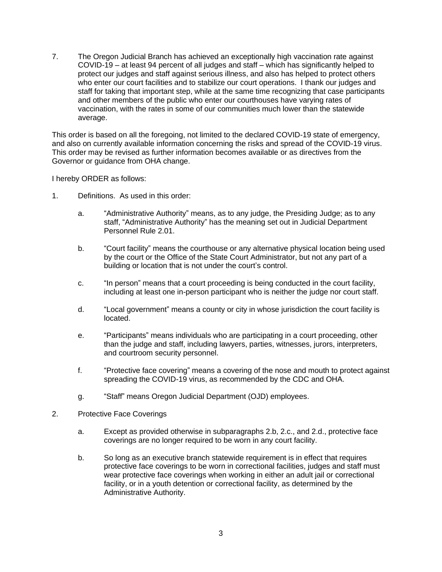7. The Oregon Judicial Branch has achieved an exceptionally high vaccination rate against COVID-19 – at least 94 percent of all judges and staff – which has significantly helped to protect our judges and staff against serious illness, and also has helped to protect others who enter our court facilities and to stabilize our court operations. I thank our judges and staff for taking that important step, while at the same time recognizing that case participants and other members of the public who enter our courthouses have varying rates of vaccination, with the rates in some of our communities much lower than the statewide average.

This order is based on all the foregoing, not limited to the declared COVID-19 state of emergency, and also on currently available information concerning the risks and spread of the COVID-19 virus. This order may be revised as further information becomes available or as directives from the Governor or guidance from OHA change.

I hereby ORDER as follows:

- 1. Definitions. As used in this order:
	- a. "Administrative Authority" means, as to any judge, the Presiding Judge; as to any staff, "Administrative Authority" has the meaning set out in Judicial Department Personnel Rule 2.01.
	- b. "Court facility" means the courthouse or any alternative physical location being used by the court or the Office of the State Court Administrator, but not any part of a building or location that is not under the court's control.
	- c. "In person" means that a court proceeding is being conducted in the court facility, including at least one in-person participant who is neither the judge nor court staff.
	- d. "Local government" means a county or city in whose jurisdiction the court facility is located.
	- e. "Participants" means individuals who are participating in a court proceeding, other than the judge and staff, including lawyers, parties, witnesses, jurors, interpreters, and courtroom security personnel.
	- f. "Protective face covering" means a covering of the nose and mouth to protect against spreading the COVID-19 virus, as recommended by the CDC and OHA.
	- g. "Staff" means Oregon Judicial Department (OJD) employees.
- 2. Protective Face Coverings
	- a. Except as provided otherwise in subparagraphs 2.b, 2.c., and 2.d., protective face coverings are no longer required to be worn in any court facility.
	- b. So long as an executive branch statewide requirement is in effect that requires protective face coverings to be worn in correctional facilities, judges and staff must wear protective face coverings when working in either an adult jail or correctional facility, or in a youth detention or correctional facility, as determined by the Administrative Authority.